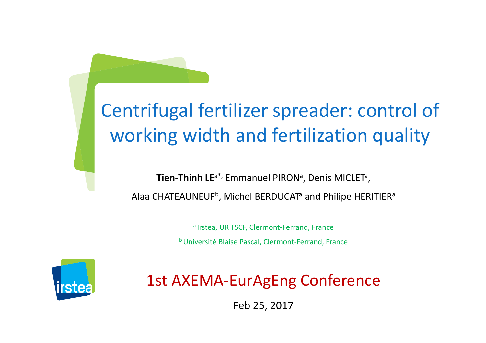### Centrifugal fertilizer spreader: control of working width and fertilization quality

**Tien-Thinh LE<sup>a\*,</sup> Emmanuel PIRON<sup>a</sup>, Denis MICLET<sup>a</sup>,** Alaa CHATEAUNEUF $^{\rm b}$ , Michel BERDUCAT $^{\rm a}$  and Philipe HERITIER $^{\rm a}$ 

> a Irstea, UR TSCF, Clermont-Ferrand, Franceb Université Blaise Pascal, Clermont-Ferrand, France



1st AXEMA-EurAgEng Conference

 $1 \text{c} \nu 25, 2017$ Feb 25, 2017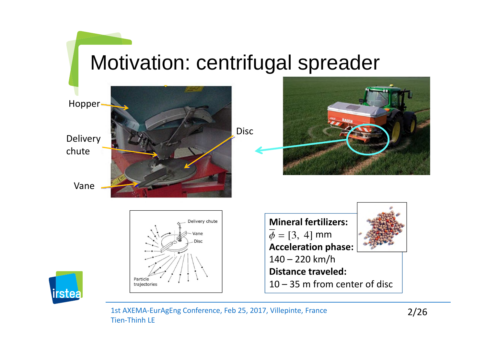## Motivation: centrifugal spreader

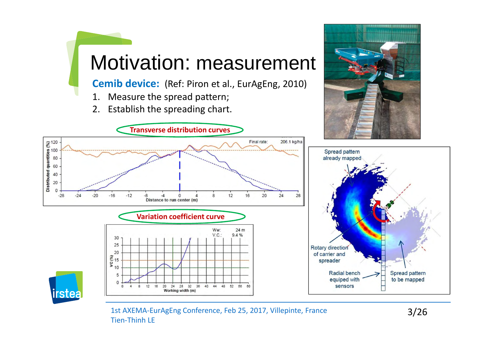

**Cemib device:** (Ref: Piron et al., EurAgEng, 2010)

- 1. Measure the spread pattern;<br>2. Establish the spreading chart.
- Establish the spreading chart.

**Transverse distribution curves** 





1st AXEMA-EurAgEng Conference, Feb 25, 2017, Villepinte, France 3/26 Tien-Thinh LE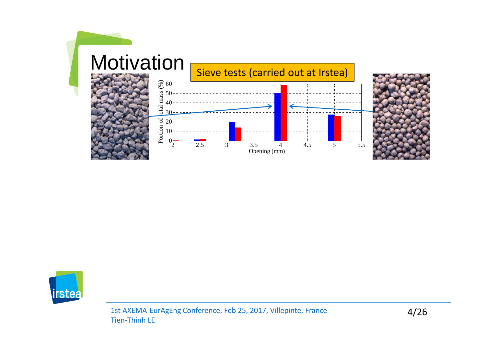

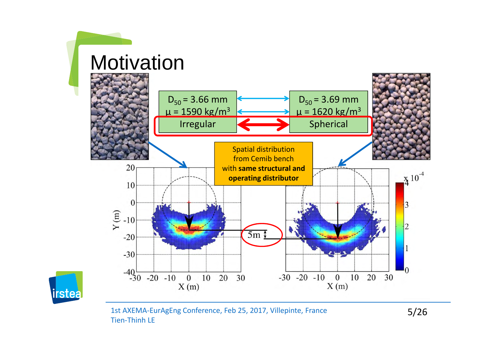

1st AXEMA-EurAgEng Conference, Feb 25, 2017, Villepinte, France 5/26 Tien-Thinh LE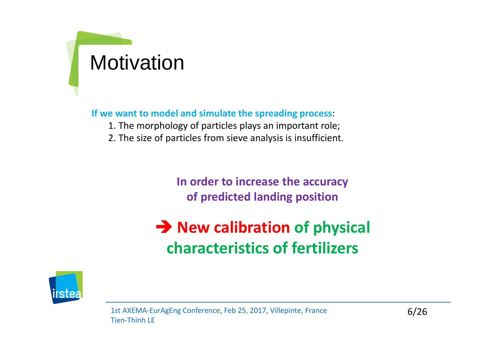# Motivation

**If we want to model and simulate the spreading process**:

- 1. The morphology of particles plays an important role;
- 2. The size of particles from sieve analysis is insufficient.

**In order to increase the accuracy of predicted landing position**

**A** New calibration of physical **characteristics of fertilizers**

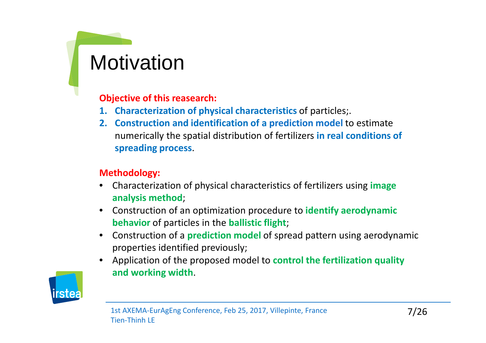### **Motivation**

**Objective of this reasearch:** 

- **1. Characterization of physical characteristics** of particles;.
- **2. Construction and identification of a prediction model** to estimate numerically the spatial distribution of fertilizers **in real conditions of spreading process**.

#### **Methodology:**

- •Characterization of physical characteristics of fertilizers using **image analysis method**;
- •Construction of an optimization procedure to **identify aerodynamic behavior** of particles in the **ballistic flight**;
- $\bullet$ Construction of a **prediction model** of spread pattern using aerodynamic properties identified previously;
- $\bullet$  Application of the proposed model to **control the fertilization quality and working width**.

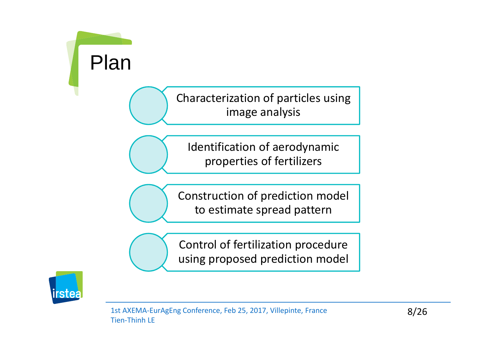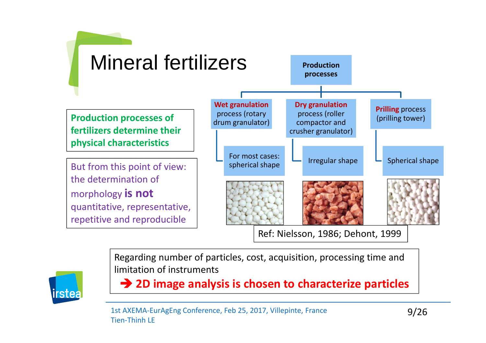



Regarding number of particles, cost, acquisition, processing time and limitation of instruments

**2D image analysis is chosen to characterize particles**

1st AXEMA-EurAgEng Conference, Feb 25, 2017, Villepinte, France 9/26 Tien-Thinh LE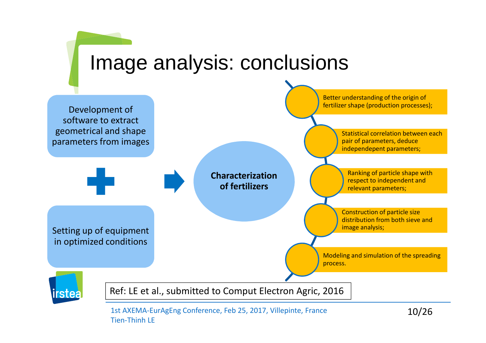

1st AXEMA-EurAgEng Conference, Feb 25, 2017, Villepinte, France 10/26 Tien-Thinh LE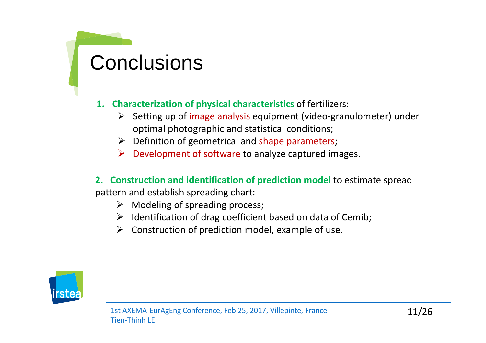### **Conclusions**

#### **1. Characterization of physical characteristics** of fertilizers:

- -Setting up of image analysis equipment (video-granulometer) under optimal photographic and statistical conditions;
- > Definition of geometrical and shape parameters;
- -Development of software to analyze captured images.

#### **2. Construction and identification of prediction model** to estimate spread

pattern and establish spreading chart:

- > Modeling of spreading process;
- > Identification of drag coefficient based on data of Cemib;
- $\blacktriangleright$ Construction of prediction model, example of use.

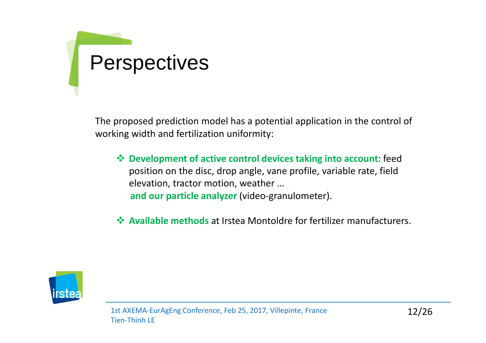# Perspectives

The proposed prediction model has a potential application in the control of working width and fertilization uniformity:

- **Development of active control devices taking into account**: feed position on the disc, drop angle, vane profile, variable rate, fieldelevation, tractor motion, weather …**and our particle analyzer** (video-granulometer).
- **Available methods** at Irstea Montoldre for fertilizer manufacturers.